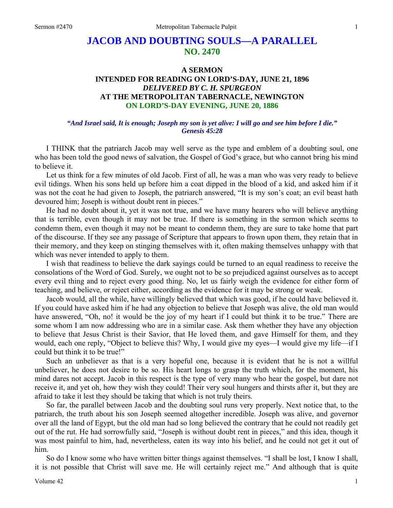# **JACOB AND DOUBTING SOULS—A PARALLEL NO. 2470**

# **A SERMON INTENDED FOR READING ON LORD'S-DAY, JUNE 21, 1896**  *DELIVERED BY C. H. SPURGEON*  **AT THE METROPOLITAN TABERNACLE, NEWINGTON ON LORD'S-DAY EVENING, JUNE 20, 1886**

#### *"And Israel said, It is enough; Joseph my son is yet alive: I will go and see him before I die." Genesis 45:28*

I THINK that the patriarch Jacob may well serve as the type and emblem of a doubting soul, one who has been told the good news of salvation, the Gospel of God's grace, but who cannot bring his mind to believe it.

Let us think for a few minutes of old Jacob. First of all, he was a man who was very ready to believe evil tidings. When his sons held up before him a coat dipped in the blood of a kid, and asked him if it was not the coat he had given to Joseph, the patriarch answered, "It is my son's coat; an evil beast hath devoured him; Joseph is without doubt rent in pieces."

He had no doubt about it, yet it was not true, and we have many hearers who will believe anything that is terrible, even though it may not be true. If there is something in the sermon which seems to condemn them, even though it may not be meant to condemn them, they are sure to take home that part of the discourse. If they see any passage of Scripture that appears to frown upon them, they retain that in their memory, and they keep on stinging themselves with it, often making themselves unhappy with that which was never intended to apply to them.

I wish that readiness to believe the dark sayings could be turned to an equal readiness to receive the consolations of the Word of God. Surely, we ought not to be so prejudiced against ourselves as to accept every evil thing and to reject every good thing. No, let us fairly weigh the evidence for either form of teaching, and believe, or reject either, according as the evidence for it may be strong or weak.

Jacob would, all the while, have willingly believed that which was good, if he could have believed it. If you could have asked him if he had any objection to believe that Joseph was alive, the old man would have answered, "Oh, no! it would be the joy of my heart if I could but think it to be true." There are some whom I am now addressing who are in a similar case. Ask them whether they have any objection to believe that Jesus Christ is their Savior, that He loved them, and gave Himself for them, and they would, each one reply, "Object to believe this? Why, I would give my eyes—I would give my life—if I could but think it to be true!"

Such an unbeliever as that is a very hopeful one, because it is evident that he is not a willful unbeliever, he does not desire to be so. His heart longs to grasp the truth which, for the moment, his mind dares not accept. Jacob in this respect is the type of very many who hear the gospel, but dare not receive it, and yet oh, how they wish they could! Their very soul hungers and thirsts after it, but they are afraid to take it lest they should be taking that which is not truly theirs.

So far, the parallel between Jacob and the doubting soul runs very properly. Next notice that, to the patriarch, the truth about his son Joseph seemed altogether incredible. Joseph was alive, and governor over all the land of Egypt, but the old man had so long believed the contrary that he could not readily get out of the rut. He had sorrowfully said, "Joseph is without doubt rent in pieces," and this idea, though it was most painful to him, had, nevertheless, eaten its way into his belief, and he could not get it out of him.

So do I know some who have written bitter things against themselves. "I shall be lost, I know I shall, it is not possible that Christ will save me. He will certainly reject me." And although that is quite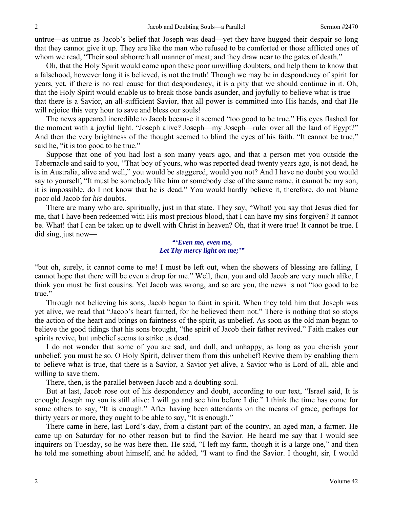untrue—as untrue as Jacob's belief that Joseph was dead—yet they have hugged their despair so long that they cannot give it up. They are like the man who refused to be comforted or those afflicted ones of whom we read, "Their soul abhorreth all manner of meat; and they draw near to the gates of death."

Oh, that the Holy Spirit would come upon these poor unwilling doubters, and help them to know that a falsehood, however long it is believed, is not the truth! Though we may be in despondency of spirit for years, yet, if there is no real cause for that despondency, it is a pity that we should continue in it. Oh, that the Holy Spirit would enable us to break those bands asunder, and joyfully to believe what is true that there is a Savior, an all-sufficient Savior, that all power is committed into His hands, and that He will rejoice this very hour to save and bless our souls!

The news appeared incredible to Jacob because it seemed "too good to be true." His eyes flashed for the moment with a joyful light. "Joseph alive? Joseph—my Joseph—ruler over all the land of Egypt?" And then the very brightness of the thought seemed to blind the eyes of his faith. "It cannot be true," said he, "it is too good to be true."

Suppose that one of you had lost a son many years ago, and that a person met you outside the Tabernacle and said to you, "That boy of yours, who was reported dead twenty years ago, is not dead, he is in Australia, alive and well," you would be staggered, would you not? And I have no doubt you would say to yourself, "It must be somebody like him or somebody else of the same name, it cannot be my son, it is impossible, do I not know that he is dead." You would hardly believe it, therefore, do not blame poor old Jacob for *his* doubts.

There are many who are, spiritually, just in that state. They say, "What! you say that Jesus died for me, that I have been redeemed with His most precious blood, that I can have my sins forgiven? It cannot be. What! that I can be taken up to dwell with Christ in heaven? Oh, that it were true! It cannot be true. I did sing, just now—

#### *"'Even me, even me, Let Thy mercy light on me;'"*

"but oh, surely, it cannot come to me! I must be left out, when the showers of blessing are falling, I cannot hope that there will be even a drop for me." Well, then, you and old Jacob are very much alike, I think you must be first cousins. Yet Jacob was wrong, and so are you, the news is not "too good to be true."

Through not believing his sons, Jacob began to faint in spirit. When they told him that Joseph was yet alive, we read that "Jacob's heart fainted, for he believed them not." There is nothing that so stops the action of the heart and brings on faintness of the spirit, as unbelief. As soon as the old man began to believe the good tidings that his sons brought, "the spirit of Jacob their father revived." Faith makes our spirits revive, but unbelief seems to strike us dead.

I do not wonder that some of you are sad, and dull, and unhappy, as long as you cherish your unbelief, you must be so. O Holy Spirit, deliver them from this unbelief! Revive them by enabling them to believe what is true, that there is a Savior, a Savior yet alive, a Savior who is Lord of all, able and willing to save them.

There, then, is the parallel between Jacob and a doubting soul.

But at last, Jacob rose out of his despondency and doubt, according to our text, "Israel said, It is enough; Joseph my son is still alive: I will go and see him before I die." I think the time has come for some others to say, "It is enough." After having been attendants on the means of grace, perhaps for thirty years or more, they ought to be able to say, "It is enough."

There came in here, last Lord's-day, from a distant part of the country, an aged man, a farmer. He came up on Saturday for no other reason but to find the Savior. He heard me say that I would see inquirers on Tuesday, so he was here then. He said, "I left my farm, though it is a large one," and then he told me something about himself, and he added, "I want to find the Savior. I thought, sir, I would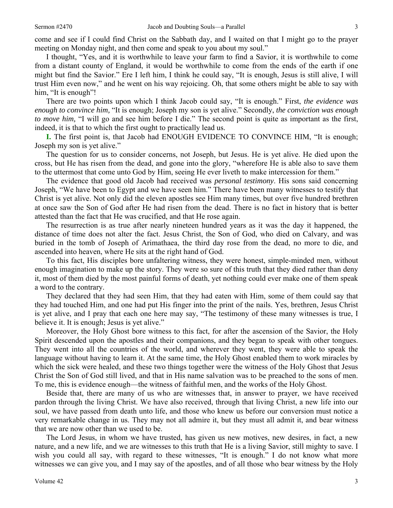come and see if I could find Christ on the Sabbath day, and I waited on that I might go to the prayer meeting on Monday night, and then come and speak to you about my soul."

I thought, "Yes, and it is worthwhile to leave your farm to find a Savior, it is worthwhile to come from a distant county of England, it would be worthwhile to come from the ends of the earth if one might but find the Savior." Ere I left him, I think he could say, "It is enough, Jesus is still alive, I will trust Him even now," and he went on his way rejoicing. Oh, that some others might be able to say with him, "It is enough"!

There are two points upon which I think Jacob could say, "It is enough." First, *the evidence was enough to convince him,* "It is enough; Joseph my son is yet alive." Secondly, *the conviction was enough to move him*, "I will go and see him before I die." The second point is quite as important as the first, indeed, it is that to which the first ought to practically lead us.

**I.** The first point is, that Jacob had ENOUGH EVIDENCE TO CONVINCE HIM, "It is enough; Joseph my son is yet alive."

The question for us to consider concerns, not Joseph, but Jesus. He is yet alive. He died upon the cross, but He has risen from the dead, and gone into the glory, "wherefore He is able also to save them to the uttermost that come unto God by Him, seeing He ever liveth to make intercession for them."

The evidence that good old Jacob had received was *personal testimony*. His sons said concerning Joseph, "We have been to Egypt and we have seen him." There have been many witnesses to testify that Christ is yet alive. Not only did the eleven apostles see Him many times, but over five hundred brethren at once saw the Son of God after He had risen from the dead. There is no fact in history that is better attested than the fact that He was crucified, and that He rose again.

The resurrection is as true after nearly nineteen hundred years as it was the day it happened, the distance of time does not alter the fact. Jesus Christ, the Son of God, who died on Calvary, and was buried in the tomb of Joseph of Arimathaea, the third day rose from the dead, no more to die, and ascended into heaven, where He sits at the right hand of God.

To this fact, His disciples bore unfaltering witness, they were honest, simple-minded men, without enough imagination to make up the story. They were so sure of this truth that they died rather than deny it, most of them died by the most painful forms of death, yet nothing could ever make one of them speak a word to the contrary.

They declared that they had seen Him, that they had eaten with Him, some of them could say that they had touched Him, and one had put His finger into the print of the nails. Yes, brethren, Jesus Christ is yet alive, and I pray that each one here may say, "The testimony of these many witnesses is true, I believe it. It is enough; Jesus is yet alive."

Moreover, the Holy Ghost bore witness to this fact, for after the ascension of the Savior, the Holy Spirit descended upon the apostles and their companions, and they began to speak with other tongues. They went into all the countries of the world, and wherever they went, they were able to speak the language without having to learn it. At the same time, the Holy Ghost enabled them to work miracles by which the sick were healed, and these two things together were the witness of the Holy Ghost that Jesus Christ the Son of God still lived, and that in His name salvation was to be preached to the sons of men. To me, this is evidence enough—the witness of faithful men, and the works of the Holy Ghost.

Beside that, there are many of us who are witnesses that, in answer to prayer, we have received pardon through the living Christ. We have also received, through that living Christ, a new life into our soul, we have passed from death unto life, and those who knew us before our conversion must notice a very remarkable change in us. They may not all admire it, but they must all admit it, and bear witness that we are now other than we used to be.

The Lord Jesus, in whom we have trusted, has given us new motives, new desires, in fact, a new nature, and a new life, and we are witnesses to this truth that He is a living Savior, still mighty to save. I wish you could all say, with regard to these witnesses, "It is enough." I do not know what more witnesses we can give you, and I may say of the apostles, and of all those who bear witness by the Holy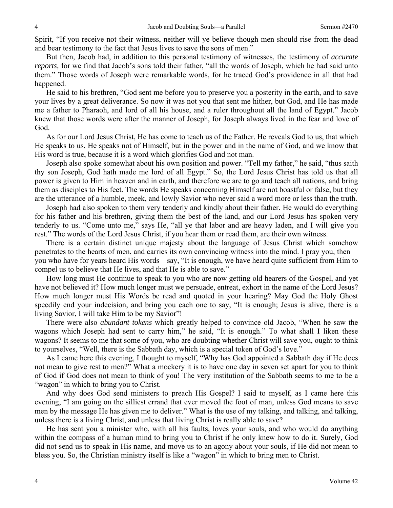Spirit, "If you receive not their witness, neither will ye believe though men should rise from the dead and bear testimony to the fact that Jesus lives to save the sons of men."

But then, Jacob had, in addition to this personal testimony of witnesses, the testimony of *accurate reports,* for we find that Jacob's sons told their father, "all the words of Joseph, which he had said unto them." Those words of Joseph were remarkable words, for he traced God's providence in all that had happened.

He said to his brethren, "God sent me before you to preserve you a posterity in the earth, and to save your lives by a great deliverance. So now it was not you that sent me hither, but God, and He has made me a father to Pharaoh, and lord of all his house, and a ruler throughout all the land of Egypt." Jacob knew that those words were after the manner of Joseph, for Joseph always lived in the fear and love of God.

As for our Lord Jesus Christ, He has come to teach us of the Father. He reveals God to us, that which He speaks to us, He speaks not of Himself, but in the power and in the name of God, and we know that His word is true, because it is a word which glorifies God and not man.

Joseph also spoke somewhat about his own position and power. "Tell my father," he said, "thus saith thy son Joseph, God hath made me lord of all Egypt." So, the Lord Jesus Christ has told us that all power is given to Him in heaven and in earth, and therefore we are to go and teach all nations, and bring them as disciples to His feet. The words He speaks concerning Himself are not boastful or false, but they are the utterance of a humble, meek, and lowly Savior who never said a word more or less than the truth.

Joseph had also spoken to them very tenderly and kindly about their father. He would do everything for his father and his brethren, giving them the best of the land, and our Lord Jesus has spoken very tenderly to us. "Come unto me," says He, "all ye that labor and are heavy laden, and I will give you rest." The words of the Lord Jesus Christ, if you hear them or read them, are their own witness.

There is a certain distinct unique majesty about the language of Jesus Christ which somehow penetrates to the hearts of men, and carries its own convincing witness into the mind. I pray you, then you who have for years heard His words—say, "It is enough, we have heard quite sufficient from Him to compel us to believe that He lives, and that He is able to save."

How long must He continue to speak to you who are now getting old hearers of the Gospel, and yet have not believed it? How much longer must we persuade, entreat, exhort in the name of the Lord Jesus? How much longer must His Words be read and quoted in your hearing? May God the Holy Ghost speedily end your indecision, and bring you each one to say, "It is enough; Jesus is alive, there is a living Savior, I will take Him to be my Savior"!

There were also *abundant tokens* which greatly helped to convince old Jacob, "When he saw the wagons which Joseph had sent to carry him," he said, "It is enough." To what shall I liken these wagons? It seems to me that some of you, who are doubting whether Christ will save you, ought to think to yourselves, "Well, there is the Sabbath day, which is a special token of God's love."

As I came here this evening, I thought to myself, "Why has God appointed a Sabbath day if He does not mean to give rest to men?" What a mockery it is to have one day in seven set apart for you to think of God if God does not mean to think of you! The very institution of the Sabbath seems to me to be a "wagon" in which to bring you to Christ.

And why does God send ministers to preach His Gospel? I said to myself, as I came here this evening, "I am going on the silliest errand that ever moved the foot of man, unless God means to save men by the message He has given me to deliver." What is the use of my talking, and talking, and talking, unless there is a living Christ, and unless that living Christ is really able to save?

He has sent you a minister who, with all his faults, loves your souls, and who would do anything within the compass of a human mind to bring you to Christ if he only knew how to do it. Surely, God did not send us to speak in His name, and move us to an agony about your souls, if He did not mean to bless you. So, the Christian ministry itself is like a "wagon" in which to bring men to Christ.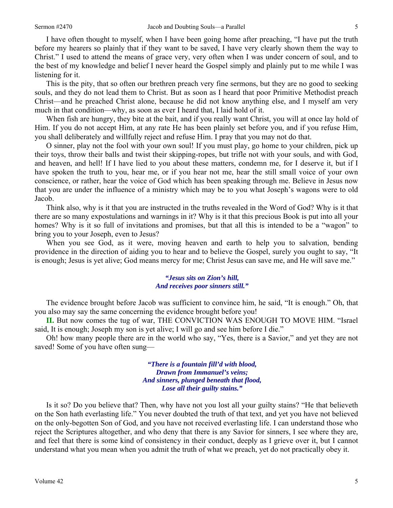I have often thought to myself, when I have been going home after preaching, "I have put the truth before my hearers so plainly that if they want to be saved, I have very clearly shown them the way to Christ." I used to attend the means of grace very, very often when I was under concern of soul, and to the best of my knowledge and belief I never heard the Gospel simply and plainly put to me while I was listening for it.

This is the pity, that so often our brethren preach very fine sermons, but they are no good to seeking souls, and they do not lead them to Christ. But as soon as I heard that poor Primitive Methodist preach Christ—and he preached Christ alone, because he did not know anything else, and I myself am very much in that condition—why, as soon as ever I heard that, I laid hold of it.

When fish are hungry, they bite at the bait, and if you really want Christ, you will at once lay hold of Him. If you do not accept Him, at any rate He has been plainly set before you, and if you refuse Him, you shall deliberately and willfully reject and refuse Him. I pray that you may not do that.

O sinner, play not the fool with your own soul! If you must play, go home to your children, pick up their toys, throw their balls and twist their skipping-ropes, but trifle not with your souls, and with God, and heaven, and hell! If I have lied to you about these matters, condemn me, for I deserve it, but if I have spoken the truth to you, hear me, or if you hear not me, hear the still small voice of your own conscience, or rather, hear the voice of God which has been speaking through me. Believe in Jesus now that you are under the influence of a ministry which may be to you what Joseph's wagons were to old Jacob.

Think also, why is it that you are instructed in the truths revealed in the Word of God? Why is it that there are so many expostulations and warnings in it? Why is it that this precious Book is put into all your homes? Why is it so full of invitations and promises, but that all this is intended to be a "wagon" to bring you to your Joseph, even to Jesus?

When you see God, as it were, moving heaven and earth to help you to salvation, bending providence in the direction of aiding you to hear and to believe the Gospel, surely you ought to say, "It is enough; Jesus is yet alive; God means mercy for me; Christ Jesus can save me, and He will save me."

#### *"Jesus sits on Zion's hill, And receives poor sinners still."*

The evidence brought before Jacob was sufficient to convince him, he said, "It is enough." Oh, that you also may say the same concerning the evidence brought before you!

**II.** But now comes the tug of war, THE CONVICTION WAS ENOUGH TO MOVE HIM. "Israel said, It is enough; Joseph my son is yet alive; I will go and see him before I die."

Oh! how many people there are in the world who say, "Yes, there is a Savior," and yet they are not saved! Some of you have often sung—

> *"There is a fountain fill'd with blood, Drawn from Immanuel's veins; And sinners, plunged beneath that flood, Lose all their guilty stains."*

Is it so? Do you believe that? Then, why have not you lost all your guilty stains? "He that believeth on the Son hath everlasting life." You never doubted the truth of that text, and yet you have not believed on the only-begotten Son of God, and you have not received everlasting life. I can understand those who reject the Scriptures altogether, and who deny that there is any Savior for sinners, I see where they are, and feel that there is some kind of consistency in their conduct, deeply as I grieve over it, but I cannot understand what you mean when you admit the truth of what we preach, yet do not practically obey it.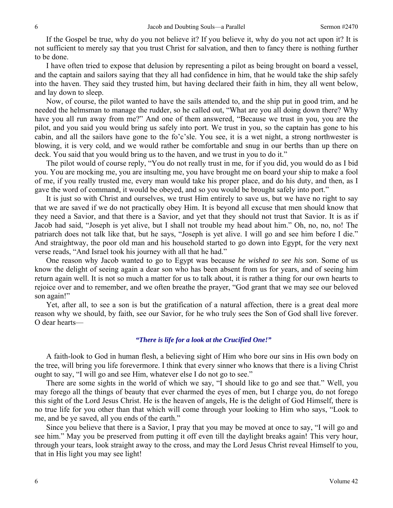If the Gospel be true, why do you not believe it? If you believe it, why do you not act upon it? It is not sufficient to merely say that you trust Christ for salvation, and then to fancy there is nothing further to be done.

I have often tried to expose that delusion by representing a pilot as being brought on board a vessel, and the captain and sailors saying that they all had confidence in him, that he would take the ship safely into the haven. They said they trusted him, but having declared their faith in him, they all went below, and lay down to sleep.

Now, of course, the pilot wanted to have the sails attended to, and the ship put in good trim, and he needed the helmsman to manage the rudder, so he called out, "What are you all doing down there? Why have you all run away from me?" And one of them answered, "Because we trust in you, you are the pilot, and you said you would bring us safely into port. We trust in you, so the captain has gone to his cabin, and all the sailors have gone to the fo'c'sle. You see, it is a wet night, a strong northwester is blowing, it is very cold, and we would rather be comfortable and snug in our berths than up there on deck. You said that you would bring us to the haven, and we trust in you to do it."

The pilot would of course reply, "You do not really trust in me, for if you did, you would do as I bid you. You are mocking me, you are insulting me, you have brought me on board your ship to make a fool of me, if you really trusted me, every man would take his proper place, and do his duty, and then, as I gave the word of command, it would be obeyed, and so you would be brought safely into port."

It is just so with Christ and ourselves, we trust Him entirely to save us, but we have no right to say that we are saved if we do not practically obey Him. It is beyond all excuse that men should know that they need a Savior, and that there is a Savior, and yet that they should not trust that Savior. It is as if Jacob had said, "Joseph is yet alive, but I shall not trouble my head about him." Oh, no, no, no! The patriarch does not talk like that, but he says, "Joseph is yet alive. I will go and see him before I die." And straightway, the poor old man and his household started to go down into Egypt, for the very next verse reads, "And Israel took his journey with all that he had."

One reason why Jacob wanted to go to Egypt was because *he wished to see his son*. Some of us know the delight of seeing again a dear son who has been absent from us for years, and of seeing him return again well. It is not so much a matter for us to talk about, it is rather a thing for our own hearts to rejoice over and to remember, and we often breathe the prayer, "God grant that we may see our beloved son again!"

Yet, after all, to see a son is but the gratification of a natural affection, there is a great deal more reason why we should, by faith, see our Savior, for he who truly sees the Son of God shall live forever. O dear hearts—

#### *"There is life for a look at the Crucified One!"*

A faith-look to God in human flesh, a believing sight of Him who bore our sins in His own body on the tree, will bring you life forevermore. I think that every sinner who knows that there is a living Christ ought to say, "I will go and see Him, whatever else I do not go to see."

There are some sights in the world of which we say, "I should like to go and see that." Well, you may forego all the things of beauty that ever charmed the eyes of men, but I charge you, do not forego this sight of the Lord Jesus Christ. He is the heaven of angels, He is the delight of God Himself, there is no true life for you other than that which will come through your looking to Him who says, "Look to me, and be ye saved, all you ends of the earth."

Since you believe that there is a Savior, I pray that you may be moved at once to say, "I will go and see him." May you be preserved from putting it off even till the daylight breaks again! This very hour, through your tears, look straight away to the cross, and may the Lord Jesus Christ reveal Himself to you, that in His light you may see light!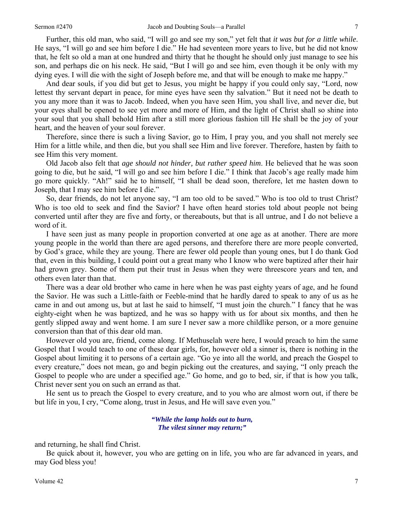Further, this old man, who said, "I will go and see my son," yet felt that *it was but for a little while*. He says, "I will go and see him before I die." He had seventeen more years to live, but he did not know that, he felt so old a man at one hundred and thirty that he thought he should only just manage to see his son, and perhaps die on his neck. He said, "But I will go and see him, even though it be only with my dying eyes. I will die with the sight of Joseph before me, and that will be enough to make me happy."

And dear souls, if you did but get to Jesus, you might be happy if you could only say, "Lord, now lettest thy servant depart in peace, for mine eyes have seen thy salvation." But it need not be death to you any more than it was to Jacob. Indeed, when you have seen Him, you shall live, and never die, but your eyes shall be opened to see yet more and more of Him, and the light of Christ shall so shine into your soul that you shall behold Him after a still more glorious fashion till He shall be the joy of your heart, and the heaven of your soul forever.

Therefore, since there is such a living Savior, go to Him, I pray you, and you shall not merely see Him for a little while, and then die, but you shall see Him and live forever. Therefore, hasten by faith to see Him this very moment.

Old Jacob also felt that *age should not hinder, but rather speed him*. He believed that he was soon going to die, but he said, "I will go and see him before I die." I think that Jacob's age really made him go more quickly. "Ah!" said he to himself, "I shall be dead soon, therefore, let me hasten down to Joseph, that I may see him before I die."

So, dear friends, do not let anyone say, "I am too old to be saved." Who is too old to trust Christ? Who is too old to seek and find the Savior? I have often heard stories told about people not being converted until after they are five and forty, or thereabouts, but that is all untrue, and I do not believe a word of it.

I have seen just as many people in proportion converted at one age as at another. There are more young people in the world than there are aged persons, and therefore there are more people converted, by God's grace, while they are young. There are fewer old people than young ones, but I do thank God that, even in this building, I could point out a great many who I know who were baptized after their hair had grown grey. Some of them put their trust in Jesus when they were threescore years and ten, and others even later than that.

There was a dear old brother who came in here when he was past eighty years of age, and he found the Savior. He was such a Little-faith or Feeble-mind that he hardly dared to speak to any of us as he came in and out among us, but at last he said to himself, "I must join the church." I fancy that he was eighty-eight when he was baptized, and he was so happy with us for about six months, and then he gently slipped away and went home. I am sure I never saw a more childlike person, or a more genuine conversion than that of this dear old man.

However old you are, friend, come along. If Methuselah were here, I would preach to him the same Gospel that I would teach to one of these dear girls, for, however old a sinner is, there is nothing in the Gospel about limiting it to persons of a certain age. "Go ye into all the world, and preach the Gospel to every creature," does not mean, go and begin picking out the creatures, and saying, "I only preach the Gospel to people who are under a specified age." Go home, and go to bed, sir, if that is how you talk, Christ never sent you on such an errand as that.

He sent us to preach the Gospel to every creature, and to you who are almost worn out, if there be but life in you, I cry, "Come along, trust in Jesus, and He will save even you."

> *"While the lamp holds out to burn, The vilest sinner may return;"*

and returning, he shall find Christ.

Be quick about it, however, you who are getting on in life, you who are far advanced in years, and may God bless you!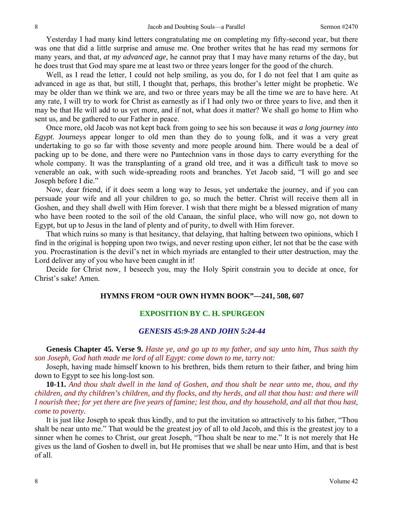Yesterday I had many kind letters congratulating me on completing my fifty-second year, but there was one that did a little surprise and amuse me. One brother writes that he has read my sermons for many years, and that, *at my advanced age,* he cannot pray that I may have many returns of the day, but he does trust that God may spare me at least two or three years longer for the good of the church.

Well, as I read the letter, I could not help smiling, as you do, for I do not feel that I am quite as advanced in age as that, but still, I thought that, perhaps, this brother's letter might be prophetic. We may be older than we think we are, and two or three years may be all the time we are to have here. At any rate, I will try to work for Christ as earnestly as if I had only two or three years to live, and then it may be that He will add to us yet more, and if not, what does it matter? We shall go home to Him who sent us, and be gathered to our Father in peace.

Once more, old Jacob was not kept back from going to see his son because it *was a long journey into Egypt*. Journeys appear longer to old men than they do to young folk, and it was a very great undertaking to go so far with those seventy and more people around him. There would be a deal of packing up to be done, and there were no Pantechnion vans in those days to carry everything for the whole company. It was the transplanting of a grand old tree, and it was a difficult task to move so venerable an oak, with such wide-spreading roots and branches. Yet Jacob said, "I will go and see Joseph before I die."

Now, dear friend, if it does seem a long way to Jesus, yet undertake the journey, and if you can persuade your wife and all your children to go, so much the better. Christ will receive them all in Goshen, and they shall dwell with Him forever. I wish that there might be a blessed migration of many who have been rooted to the soil of the old Canaan, the sinful place, who will now go, not down to Egypt, but up to Jesus in the land of plenty and of purity, to dwell with Him forever.

That which ruins so many is that hesitancy, that delaying, that halting between two opinions, which I find in the original is hopping upon two twigs, and never resting upon either, let not that be the case with you. Procrastination is the devil's net in which myriads are entangled to their utter destruction, may the Lord deliver any of you who have been caught in it!

Decide for Christ now, I beseech you, may the Holy Spirit constrain you to decide at once, for Christ's sake! Amen.

### **HYMNS FROM "OUR OWN HYMN BOOK"—241, 508, 607**

# **EXPOSITION BY C. H. SPURGEON**

## *GENESIS 45:9-28 AND JOHN 5:24-44*

**Genesis Chapter 45. Verse 9.** *Haste ye, and go up to my father, and say unto him, Thus saith thy son Joseph, God hath made me lord of all Egypt: come down to me, tarry not:*

Joseph, having made himself known to his brethren, bids them return to their father, and bring him down to Egypt to see his long-lost son.

**10-11.** *And thou shalt dwell in the land of Goshen, and thou shalt be near unto me, thou, and thy children, and thy children's children, and thy flocks, and thy herds, and all that thou hast: and there will I nourish thee; for yet there are five years of famine; lest thou, and thy household, and all that thou hast, come to poverty.*

It is just like Joseph to speak thus kindly, and to put the invitation so attractively to his father, "Thou shalt be near unto me." That would be the greatest joy of all to old Jacob, and this is the greatest joy to a sinner when he comes to Christ, our great Joseph, "Thou shalt be near to me." It is not merely that He gives us the land of Goshen to dwell in, but He promises that we shall be near unto Him, and that is best of all.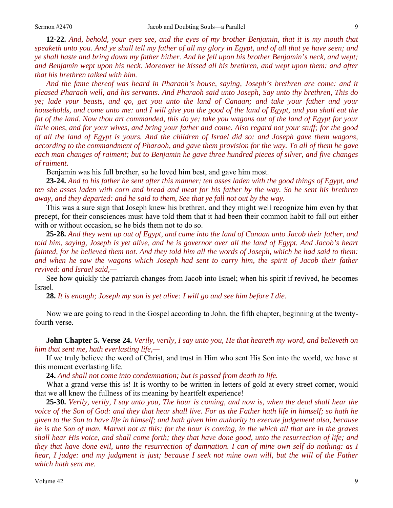**12-22.** *And, behold, your eyes see, and the eyes of my brother Benjamin, that it is my mouth that speaketh unto you. And ye shall tell my father of all my glory in Egypt, and of all that ye have seen; and ye shall haste and bring down my father hither. And he fell upon his brother Benjamin's neck, and wept; and Benjamin wept upon his neck. Moreover he kissed all his brethren, and wept upon them: and after that his brethren talked with him.* 

*And the fame thereof was heard in Pharaoh's house, saying, Joseph's brethren are come: and it pleased Pharaoh well, and his servants. And Pharaoh said unto Joseph, Say unto thy brethren, This do ye; lade your beasts, and go, get you unto the land of Canaan; and take your father and your households, and come unto me: and I will give you the good of the land of Egypt, and you shall eat the fat of the land. Now thou art commanded, this do ye; take you wagons out of the land of Egypt for your little ones, and for your wives, and bring your father and come. Also regard not your stuff; for the good of all the land of Egypt is yours. And the children of Israel did so: and Joseph gave them wagons, according to the commandment of Pharaoh, and gave them provision for the way. To all of them he gave each man changes of raiment; but to Benjamin he gave three hundred pieces of silver, and five changes of raiment.*

Benjamin was his full brother, so he loved him best, and gave him most.

**23-24.** *And to his father he sent after this manner; ten asses laden with the good things of Egypt, and ten she asses laden with corn and bread and meat for his father by the way. So he sent his brethren away, and they departed: and he said to them, See that ye fall not out by the way.*

This was a sure sign that Joseph knew his brethren, and they might well recognize him even by that precept, for their consciences must have told them that it had been their common habit to fall out either with or without occasion, so he bids them not to do so.

**25-28.** *And they went up out of Egypt, and came into the land of Canaan unto Jacob their father, and told him, saying, Joseph is yet alive, and he is governor over all the land of Egypt. And Jacob's heart fainted, for he believed them not. And they told him all the words of Joseph, which he had said to them:*  and when he saw the wagons which Joseph had sent to carry him, the spirit of Jacob their father *revived: and Israel said,—*

See how quickly the patriarch changes from Jacob into Israel; when his spirit if revived, he becomes Israel.

**28.** *It is enough; Joseph my son is yet alive: I will go and see him before I die.* 

Now we are going to read in the Gospel according to John, the fifth chapter, beginning at the twentyfourth verse.

**John Chapter 5. Verse 24.** *Verily, verily, I say unto you, He that heareth my word, and believeth on him that sent me, hath everlasting life,—* 

If we truly believe the word of Christ, and trust in Him who sent His Son into the world, we have at this moment everlasting life.

**24.** *And shall not come into condemnation; but is passed from death to life.*

What a grand verse this is! It is worthy to be written in letters of gold at every street corner, would that we all knew the fullness of its meaning by heartfelt experience!

**25-30.** *Verily, verily, I say unto you, The hour is coming, and now is, when the dead shall hear the voice of the Son of God: and they that hear shall live. For as the Father hath life in himself; so hath he given to the Son to have life in himself; and hath given him authority to execute judgement also, because he is the Son of man. Marvel not at this: for the hour is coming, in the which all that are in the graves shall hear His voice, and shall come forth; they that have done good, unto the resurrection of life; and they that have done evil, unto the resurrection of damnation. I can of mine own self do nothing: as I hear, I judge: and my judgment is just; because I seek not mine own will, but the will of the Father which hath sent me.*